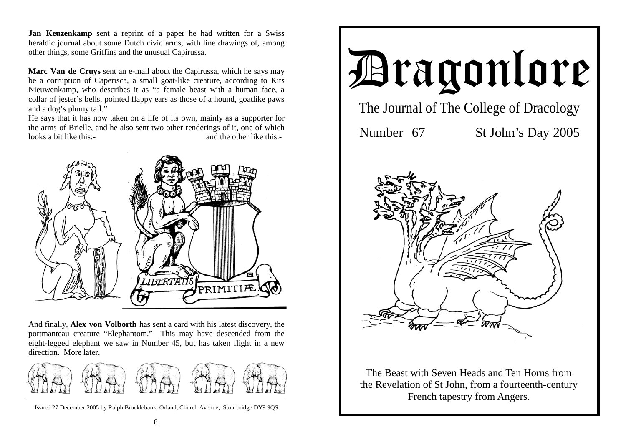**Jan Keuzenkamp** sent a reprint of a paper he had written for a Swiss heraldic journal about some Dutch civic arms, with line drawings of, among other things, some Griffins and the unusual Capirussa.

**Marc Van de Cruys** sent an e-mail about the Capirussa, which he says may be a corruption of Caperisca, a small goat-like creature, according to Kits Nieuwenkamp, who describes it as "a female beast with a human face, a collar of jester's bells, pointed flappy ears as those of a hound, goatlike paws and a dog's plumy tail."

He says that it has now taken on a life of its own, mainly as a supporter for the arms of Brielle, and he also sent two other renderings of it, one of which looks a bit like this:-<br>and the other like this:-



And finally, **Alex von Volborth** has sent a card with his latest discovery, the portmanteau creature "Elephantom." This may have descended from the eight-legged elephant we saw in Number 45, but has taken flight in a new direction. More later.



Issued 27 December 2005 by Ralph Brocklebank, Orland, Church Avenue, Stourbridge DY9 9QS



The Beast with Seven Heads and Ten Horns from the Revelation of St John, from a fourteenth-century French tapestry from Angers.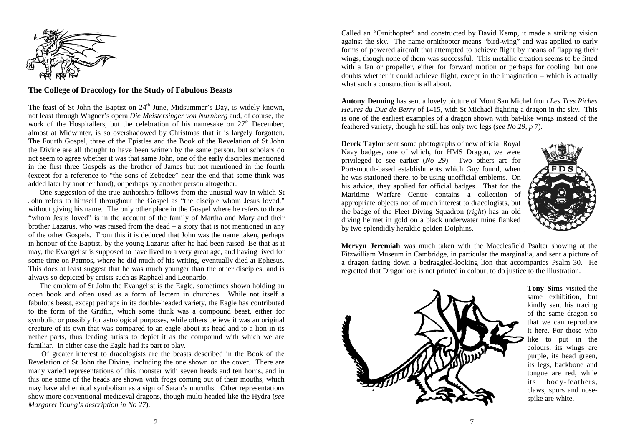

#### **The College of Dracology for the Study of Fabulous Beasts**

The feast of St John the Baptist on  $24<sup>th</sup>$  June, Midsummer's Day, is widely known, not least through Wagner's opera *Die Meistersinger von Nurnberg* and, of course, the work of the Hospitallers, but the celebration of his namesake on  $27<sup>th</sup>$  December, almost at Midwinter, is so overshadowed by Christmas that it is largely forgotten. The Fourth Gospel, three of the Epistles and the Book of the Revelation of St John the Divine are all thought to have been written by the same person, but scholars do not seem to agree whether it was that same John, one of the early disciples mentioned in the first three Gospels as the brother of James but not mentioned in the fourth (except for a reference to "the sons of Zebedee" near the end that some think was added later by another hand), or perhaps by another person altogether.

 One suggestion of the true authorship follows from the unusual way in which St John refers to himself throughout the Gospel as "the disciple whom Jesus loved," without giving his name. The only other place in the Gospel where he refers to those "whom Jesus loved" is in the account of the family of Martha and Mary and their brother Lazarus, who was raised from the dead – a story that is not mentioned in any of the other Gospels. From this it is deduced that John was the name taken, perhaps in honour of the Baptist, by the young Lazarus after he had been raised. Be that as it may, the Evangelist is supposed to have lived to a very great age, and having lived for some time on Patmos, where he did much of his writing, eventually died at Ephesus. This does at least suggest that he was much younger than the other disciples, and is always so depicted by artists such as Raphael and Leonardo.

 The emblem of St John the Evangelist is the Eagle, sometimes shown holding an open book and often used as a form of lectern in churches. While not itself a fabulous beast, except perhaps in its double-headed variety, the Eagle has contributed to the form of the Griffin, which some think was a compound beast, either for symbolic or possibly for astrological purposes, while others believe it was an original creature of its own that was compared to an eagle about its head and to a lion in its nether parts, thus leading artists to depict it as the compound with which we are familiar. In either case the Eagle had its part to play.

 Of greater interest to dracologists are the beasts described in the Book of the Revelation of St John the Divine, including the one shown on the cover. There are many varied representations of this monster with seven heads and ten horns, and in this one some of the heads are shown with frogs coming out of their mouths, which may have alchemical symbolism as a sign of Satan's untruths. Other representations show more conventional mediaeval dragons, though multi-headed like the Hydra (*see Margaret Young's description in No 27*).

Called an "Ornithopter" and constructed by David Kemp, it made a striking vision against the sky. The name ornithopter means "bird-wing" and was applied to early forms of powered aircraft that attempted to achieve flight by means of flapping their wings, though none of them was successful. This metallic creation seems to be fitted with a fan or propeller, either for forward motion or perhaps for cooling, but one doubts whether it could achieve flight, except in the imagination – which is actually what such a construction is all about.

**Antony Denning** has sent a lovely picture of Mont San Michel from *Les Tres Riches Heures du Duc de Berry* of 1415, with St Michael fighting a dragon in the sky. This is one of the earliest examples of a dragon shown with bat-like wings instead of the feathered variety, though he still has only two legs (*see No 29, p 7*).

**Derek Taylor** sent some photographs of new official Royal Navy badges, one of which, for HMS Dragon, we were privileged to see earlier (*No 29*). Two others are for Portsmouth-based establishments which Guy found, when he was stationed there, to be using unofficial emblems. On his advice, they applied for official badges. That for the Maritime Warfare Centre contains a collection of appropriate objects not of much interest to dracologists, but the badge of the Fleet Diving Squadron (*right*) has an old diving helmet in gold on a black underwater mine flanked by two splendidly heraldic golden Dolphins.



**Mervyn Jeremiah** was much taken with the Macclesfield Psalter showing at the Fitzwilliam Museum in Cambridge, in particular the marginalia, and sent a picture of a dragon facing down a bedraggled-looking lion that accompanies Psalm 30. He regretted that Dragonlore is not printed in colour, to do justice to the illustration.



**Tony Sims** visited the same exhibition, but kindly sent his tracing of the same dragon so that we can reproduce it here. For those who like to put in the colours, its wings are purple, its head green, its legs, backbone and tongue are red, while its body-feathers, claws, spurs and nosespike are white.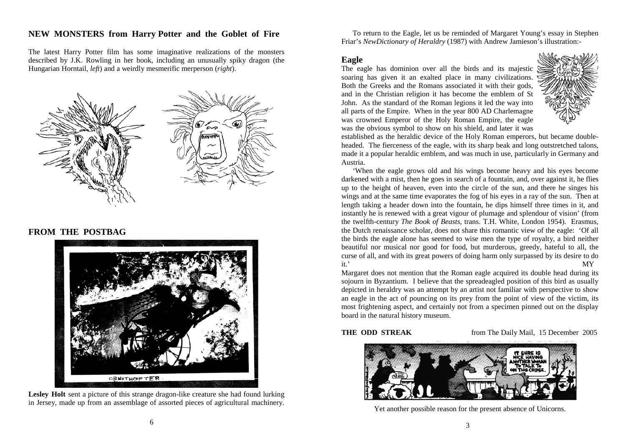# **NEW MONSTERS from Harry Potter and the Goblet of Fire**

The latest Harry Potter film has some imaginative realizations of the monsters described by J.K. Rowling in her book, including an unusually spiky dragon (the Hungarian Horntail, *left*) and a weirdly mesmerific merperson (*right*).



### **FROM THE POSTBAG**



Lesley Holt sent a picture of this strange dragon-like creature she had found lurking in Jersey, made up from an assemblage of assorted pieces of agricultural machinery.

 To return to the Eagle, let us be reminded of Margaret Young's essay in Stephen Friar's *NewDictionary of Heraldry* (1987) with Andrew Jamieson's illustration:-

### **Eagle**

The eagle has dominion over all the birds and its majestic soaring has given it an exalted place in many civilizations. Both the Greeks and the Romans associated it with their gods, and in the Christian religion it has become the emblem of St John. As the standard of the Roman legions it led the way into all parts of the Empire. When in the year 800 AD Charlemagne was crowned Emperor of the Holy Roman Empire, the eagle was the obvious symbol to show on his shield, and later it was



established as the heraldic device of the Holy Roman emperors, but became doubleheaded. The fierceness of the eagle, with its sharp beak and long outstretched talons, made it a popular heraldic emblem, and was much in use, particularly in Germany and Austria.

 'When the eagle grows old and his wings become heavy and his eyes become darkened with a mist, then he goes in search of a fountain, and, over against it, he flies up to the height of heaven, even into the circle of the sun, and there he singes his wings and at the same time evaporates the fog of his eyes in a ray of the sun. Then at length taking a header down into the fountain, he dips himself three times in it, and instantly he is renewed with a great vigour of plumage and splendour of vision' (from the twelfth-century *The Book of Beasts*, trans. T.H. White, London 1954). Erasmus, the Dutch renaissance scholar, does not share this romantic view of the eagle: 'Of all the birds the eagle alone has seemed to wise men the type of royalty, a bird neither beautiful nor musical nor good for food, but murderous, greedy, hateful to all, the curse of all, and with its great powers of doing harm only surpassed by its desire to do it.' MY

Margaret does not mention that the Roman eagle acquired its double head during its sojourn in Byzantium. I believe that the spreadeagled position of this bird as usually depicted in heraldry was an attempt by an artist not familiar with perspective to show an eagle in the act of pouncing on its prey from the point of view of the victim, its most frightening aspect, and certainly not from a specimen pinned out on the display board in the natural history museum.

**THE ODD STREAK** from The Daily Mail, 15 December 2005



Yet another possible reason for the present absence of Unicorns.